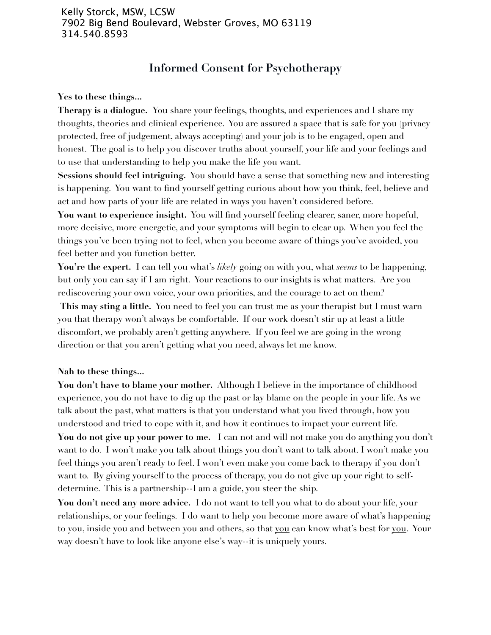## **Informed Consent for Psychotherapy**

**Yes to these things...**

**Therapy is a dialogue.** You share your feelings, thoughts, and experiences and I share my thoughts, theories and clinical experience. You are assured a space that is safe for you (privacy protected, free of judgement, always accepting) and your job is to be engaged, open and honest. The goal is to help you discover truths about yourself, your life and your feelings and to use that understanding to help you make the life you want.

**Sessions should feel intriguing.** You should have a sense that something new and interesting is happening. You want to find yourself getting curious about how you think, feel, believe and act and how parts of your life are related in ways you haven't considered before.

**You want to experience insight.** You will find yourself feeling clearer, saner, more hopeful, more decisive, more energetic, and your symptoms will begin to clear up. When you feel the things you've been trying not to feel, when you become aware of things you've avoided, you feel better and you function better.

**You're the expert.** I can tell you what's *likely* going on with you, what *seems* to be happening, but only you can say if I am right. Your reactions to our insights is what matters. Are you rediscovering your own voice, your own priorities, and the courage to act on them?

This may sting a little. You need to feel you can trust me as your therapist but I must warn you that therapy won't always be comfortable. If our work doesn't stir up at least a little discomfort, we probably aren't getting anywhere. If you feel we are going in the wrong direction or that you aren't getting what you need, always let me know.

**Nah to these things...**

You don't have to blame your mother. Although I believe in the importance of childhood experience, you do not have to dig up the past or lay blame on the people in your life. As we talk about the past, what matters is that you understand what you lived through, how you understood and tried to cope with it, and how it continues to impact your current life. **You do not give up your power to me.** I can not and will not make you do anything you don't want to do. I won't make you talk about things you don't want to talk about. I won't make you feel things you aren't ready to feel. I won't even make you come back to therapy if you don't want to. By giving yourself to the process of therapy, you do not give up your right to selfdetermine. This is a partnership--I am a guide, you steer the ship.

**You don't need any more advice.** I do not want to tell you what to do about your life, your relationships, or your feelings. I do want to help you become more aware of what's happening to you, inside you and between you and others, so that you can know what's best for you. Your way doesn't have to look like anyone else's way--it is uniquely yours.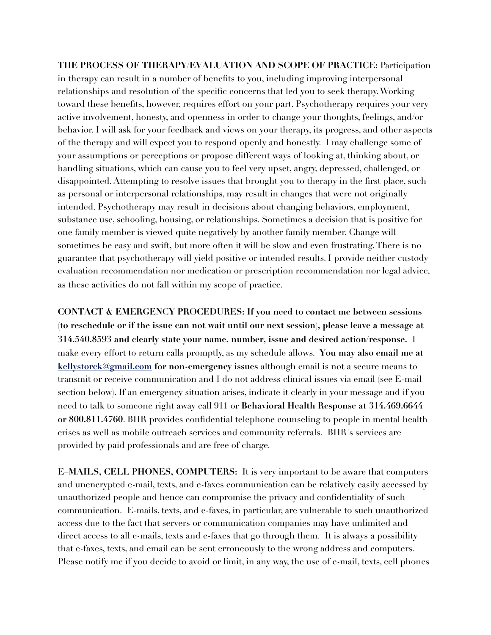**THE PROCESS OF THERAPY/EVALUATION AND SCOPE OF PRACTICE:** Participation in therapy can result in a number of benefits to you, including improving interpersonal relationships and resolution of the specific concerns that led you to seek therapy. Working toward these benefits, however, requires effort on your part. Psychotherapy requires your very active involvement, honesty, and openness in order to change your thoughts, feelings, and/or behavior. I will ask for your feedback and views on your therapy, its progress, and other aspects of the therapy and will expect you to respond openly and honestly. I may challenge some of your assumptions or perceptions or propose different ways of looking at, thinking about, or handling situations, which can cause you to feel very upset, angry, depressed, challenged, or disappointed. Attempting to resolve issues that brought you to therapy in the first place, such as personal or interpersonal relationships, may result in changes that were not originally intended. Psychotherapy may result in decisions about changing behaviors, employment, substance use, schooling, housing, or relationships. Sometimes a decision that is positive for one family member is viewed quite negatively by another family member. Change will sometimes be easy and swift, but more often it will be slow and even frustrating. There is no guarantee that psychotherapy will yield positive or intended results. I provide neither custody evaluation recommendation nor medication or prescription recommendation nor legal advice, as these activities do not fall within my scope of practice.

**CONTACT & EMERGENCY PROCEDURES: If you need to contact me between sessions (to reschedule or if the issue can not wait until our next session), please leave a message at 314.540.8593 and clearly state your name, number, issue and desired action/response.** I make every effort to return calls promptly, as my schedule allows. **You may also email me at [kellystorck@gmail.com](mailto:tkstorck@hotmail.com) for non-emergency issues** although email is not a secure means to transmit or receive communication and I do not address clinical issues via email (see E-mail section below). If an emergency situation arises, indicate it clearly in your message and if you need to talk to someone right away call 911 or **Behavioral Health Response at 314.469.6644 or 800.811.4760**. BHR provides confidential telephone counseling to people in mental health crises as well as mobile outreach services and community referrals. BHR's services are provided by paid professionals and are free of charge.

**E–MAILS, CELL PHONES, COMPUTERS:** It is very important to be aware that computers and unencrypted e-mail, texts, and e-faxes communication can be relatively easily accessed by unauthorized people and hence can compromise the privacy and confidentiality of such communication. E-mails, texts, and e-faxes, in particular, are vulnerable to such unauthorized access due to the fact that servers or communication companies may have unlimited and direct access to all e-mails, texts and e-faxes that go through them. It is always a possibility that e-faxes, texts, and email can be sent erroneously to the wrong address and computers. Please notify me if you decide to avoid or limit, in any way, the use of e-mail, texts, cell phones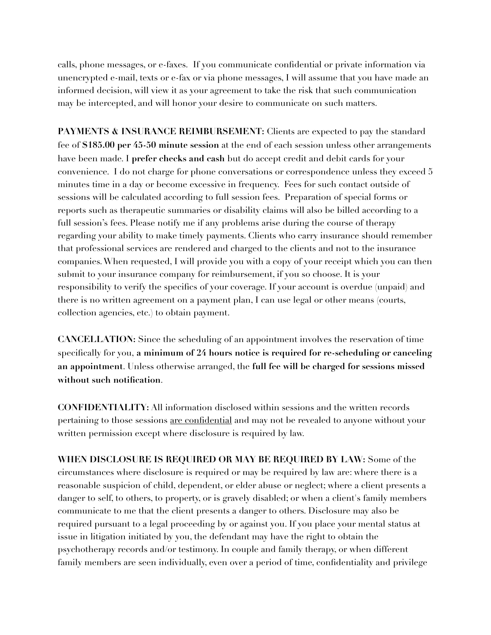calls, phone messages, or e-faxes. If you communicate confidential or private information via unencrypted e-mail, texts or e-fax or via phone messages, I will assume that you have made an informed decision, will view it as your agreement to take the risk that such communication may be intercepted, and will honor your desire to communicate on such matters.

**PAYMENTS & INSURANCE REIMBURSEMENT:** Clients are expected to pay the standard fee of **\$185.00 per 45-50 minute session** at the end of each session unless other arrangements have been made. I **prefer checks and cash** but do accept credit and debit cards for your convenience. I do not charge for phone conversations or correspondence unless they exceed 5 minutes time in a day or become excessive in frequency. Fees for such contact outside of sessions will be calculated according to full session fees. Preparation of special forms or reports such as therapeutic summaries or disability claims will also be billed according to a full session's fees. Please notify me if any problems arise during the course of therapy regarding your ability to make timely payments. Clients who carry insurance should remember that professional services are rendered and charged to the clients and not to the insurance companies. When requested, I will provide you with a copy of your receipt which you can then submit to your insurance company for reimbursement, if you so choose. It is your responsibility to verify the specifics of your coverage. If your account is overdue (unpaid) and there is no written agreement on a payment plan, I can use legal or other means (courts, collection agencies, etc.) to obtain payment.

**CANCELLATION:** Since the scheduling of an appointment involves the reservation of time specifically for you, **a minimum of 24 hours notice is required for re-scheduling or canceling an appointment**. Unless otherwise arranged, the **full fee will be charged for sessions missed without such notification**.

**CONFIDENTIALITY:** All information disclosed within sessions and the written records pertaining to those sessions are confidential and may not be revealed to anyone without your written permission except where disclosure is required by law.

**WHEN DISCLOSURE IS REQUIRED OR MAY BE REQUIRED BY LAW:** Some of the circumstances where disclosure is required or may be required by law are: where there is a reasonable suspicion of child, dependent, or elder abuse or neglect; where a client presents a danger to self, to others, to property, or is gravely disabled; or when a client's family members communicate to me that the client presents a danger to others. Disclosure may also be required pursuant to a legal proceeding by or against you. If you place your mental status at issue in litigation initiated by you, the defendant may have the right to obtain the psychotherapy records and/or testimony. In couple and family therapy, or when different family members are seen individually, even over a period of time, confidentiality and privilege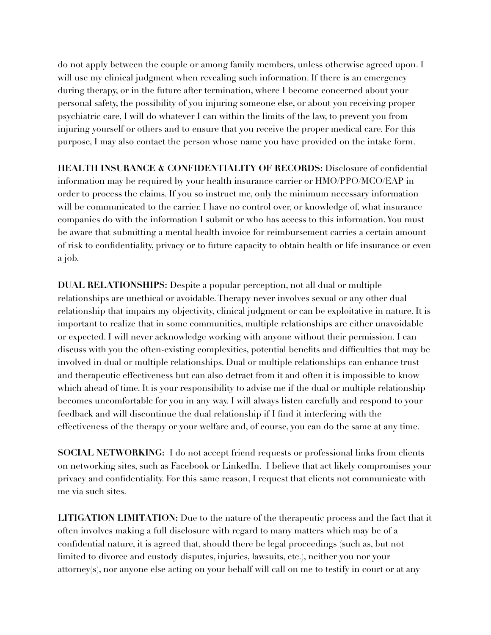do not apply between the couple or among family members, unless otherwise agreed upon. I will use my clinical judgment when revealing such information. If there is an emergency during therapy, or in the future after termination, where I become concerned about your personal safety, the possibility of you injuring someone else, or about you receiving proper psychiatric care, I will do whatever I can within the limits of the law, to prevent you from injuring yourself or others and to ensure that you receive the proper medical care. For this purpose, I may also contact the person whose name you have provided on the intake form.

**HEALTH INSURANCE & CONFIDENTIALITY OF RECORDS:** Disclosure of confidential information may be required by your health insurance carrier or HMO/PPO/MCO/EAP in order to process the claims. If you so instruct me, only the minimum necessary information will be communicated to the carrier. I have no control over, or knowledge of, what insurance companies do with the information I submit or who has access to this information. You must be aware that submitting a mental health invoice for reimbursement carries a certain amount of risk to confidentiality, privacy or to future capacity to obtain health or life insurance or even a job.

**DUAL RELATIONSHIPS:** Despite a popular perception, not all dual or multiple relationships are unethical or avoidable. Therapy never involves sexual or any other dual relationship that impairs my objectivity, clinical judgment or can be exploitative in nature. It is important to realize that in some communities, multiple relationships are either unavoidable or expected. I will never acknowledge working with anyone without their permission. I can discuss with you the often-existing complexities, potential benefits and difficulties that may be involved in dual or multiple relationships. Dual or multiple relationships can enhance trust and therapeutic effectiveness but can also detract from it and often it is impossible to know which ahead of time. It is your responsibility to advise me if the dual or multiple relationship becomes uncomfortable for you in any way. I will always listen carefully and respond to your feedback and will discontinue the dual relationship if I find it interfering with the effectiveness of the therapy or your welfare and, of course, you can do the same at any time.

**SOCIAL NETWORKING:** I do not accept friend requests or professional links from clients on networking sites, such as Facebook or LinkedIn. I believe that act likely compromises your privacy and confidentiality. For this same reason, I request that clients not communicate with me via such sites.

**LITIGATION LIMITATION:** Due to the nature of the therapeutic process and the fact that it often involves making a full disclosure with regard to many matters which may be of a confidential nature, it is agreed that, should there be legal proceedings (such as, but not limited to divorce and custody disputes, injuries, lawsuits, etc.), neither you nor your attorney(s), nor anyone else acting on your behalf will call on me to testify in court or at any